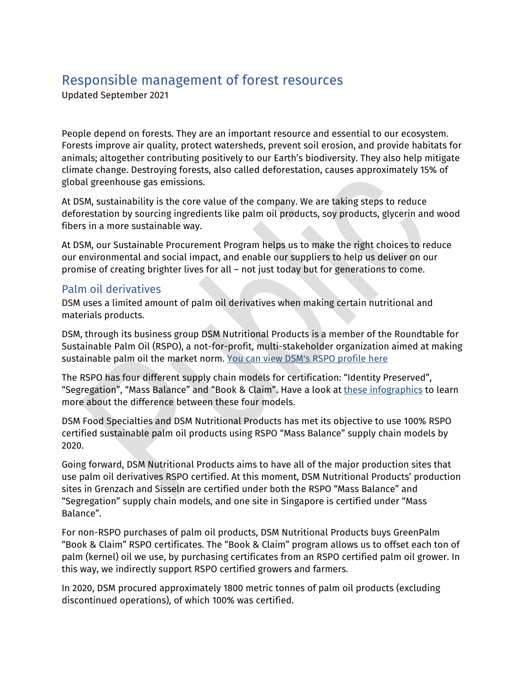# Responsible management of forest resources

Updated September 2021

People depend on forests. They are an important resource and essential to our ecosystem. Forests improve air quality, protect watersheds, prevent soil erosion, and provide habitats for animals; altogether contributing positively to our Earth's biodiversity. They also help mitigate climate change. Destroying forests, also called deforestation, causes approximately 15% of global greenhouse gas emissions.

At DSM, sustainability is the core value of the company. We are taking steps to reduce deforestation by sourcing ingredients like palm oil products, soy products, glycerin and wood fibers in a more sustainable way.

At DSM, our Sustainable Procurement Program helps us to make the right choices to reduce our environmental and social impact, and enable our suppliers to help us deliver on our promise of creating brighter lives for all – not just today but for generations to come.

### Palm oil derivatives

DSM uses a limited amount of palm oil derivatives when making certain nutritional and materials products.

DSM, through its business group DSM Nutritional Products is a member of the Roundtable for Sustainable Palm Oil (RSPO), a not-for-profit, multi-stakeholder organization aimed at making sustainable palm oil the market norm. [You can view DSM's RSPO profile here](https://www.rspo.org/members/217/DSM-Nutritional-Products-AG)

The RSPO has four different supply chain models for certification: "Identity Preserved", "Segregation", "Mass Balance" and "Book & Claim". Have a look at [these infographics](https://rspo.org/certification/supply-chains) to learn more about the difference between these four models.

DSM Food Specialties and DSM Nutritional Products has met its objective to use 100% RSPO certified sustainable palm oil products using RSPO "Mass Balance" supply chain models by 2020.

Going forward, DSM Nutritional Products aims to have all of the major production sites that use palm oil derivatives RSPO certified. At this moment, DSM Nutritional Products' production sites in Grenzach and Sisseln are certified under both the RSPO "Mass Balance" and "Segregation" supply chain models, and one site in Singapore is certified under "Mass Balance".

For non-RSPO purchases of palm oil products, DSM Nutritional Products buys GreenPalm "Book & Claim" RSPO certificates. The "Book & Claim" program allows us to offset each ton of palm (kernel) oil we use, by purchasing certificates from an RSPO certified palm oil grower. In this way, we indirectly support RSPO certified growers and farmers.

In 2020, DSM procured approximately 1800 metric tonnes of palm oil products (excluding discontinued operations), of which 100% was certified.